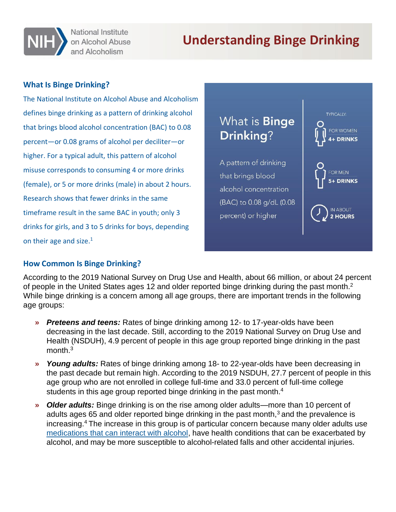

National Institute on Alcohol Abuse and Alcoholism

# **Understanding Binge Drinking**

#### **What Is Binge Drinking?**

The National Institute on Alcohol Abuse and Alcoholism defines binge drinking as a pattern of drinking alcohol that brings blood alcohol concentration (BAC) to 0.08 percent—or 0.08 grams of alcohol per deciliter—or higher. For a typical adult, this pattern of alcohol misuse corresponds to consuming 4 or more drinks (female), or 5 or more drinks (male) in about 2 hours. Research shows that fewer drinks in the same timeframe result in the same BAC in youth; only 3 drinks for girls, and 3 to 5 drinks for boys, depending on their age and size. $1$ 



#### **How Common Is Binge Drinking?**

According to the 2019 National Survey on Drug Use and Health, about 66 million, or about 24 percent of people in the United States ages 12 and older reported binge drinking during the past month.<sup>2</sup> While binge drinking is a concern among all age groups, there are important trends in the following age groups:

- **»** *Preteens and teens:* Rates of binge drinking among 12- to 17-year-olds have been decreasing in the last decade. Still, according to the 2019 National Survey on Drug Use and Health (NSDUH), 4.9 percent of people in this age group reported binge drinking in the past month.<sup>3</sup>
- **»** *Young adults:* Rates of binge drinking among 18- to 22-year-olds have been decreasing in the past decade but remain high. According to the 2019 NSDUH, 27.7 percent of people in this age group who are not enrolled in college full-time and 33.0 percent of full-time college students in this age group reported binge drinking in the past month.<sup>4</sup>
- **»** *Older adults:* Binge drinking is on the rise among older adults—more than 10 percent of adults ages 65 and older reported binge drinking in the past month, $3$  and the prevalence is increasing.<sup>4</sup>The increase in this group is of particular concern because many older adults use [medications that can interact with alcohol,](https://www.niaaa.nih.gov/publications/brochures-and-fact-sheets/harmful-interactions-mixing-alcohol-with-medicines) have health conditions that can be exacerbated by alcohol, and may be more susceptible to alcohol-related falls and other accidental injuries.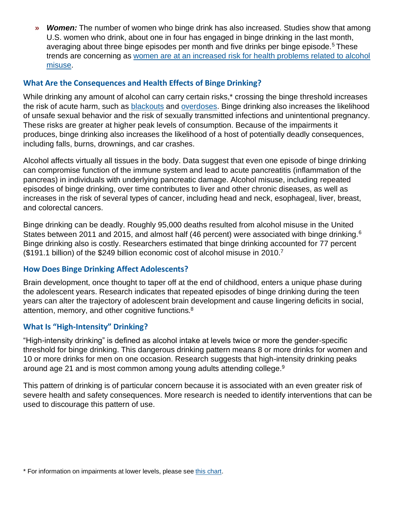**»** *Women:* The number of women who binge drink has also increased. Studies show that among U.S. women who drink, about one in four has engaged in binge drinking in the last month, averaging about three binge episodes per month and five drinks per binge episode.<sup>5</sup> These trends are concerning as [women are at an increased risk for health problems related to alcohol](https://www.niaaa.nih.gov/publications/brochures-and-fact-sheets/women-and-alcohol) [misuse.](https://www.niaaa.nih.gov/publications/brochures-and-fact-sheets/women-and-alcohol)

#### **What Are the Consequences and Health Effects of Binge Drinking?**

While drinking any amount of alcohol can carry certain risks,<sup>\*</sup> crossing the binge threshold increases the risk of acute harm, such as [blackouts a](https://www.niaaa.nih.gov/publications/brochures-and-fact-sheets/interrupted-memories-alcohol-induced-blackouts)nd [overdoses.](https://www.niaaa.nih.gov/publications/brochures-and-fact-sheets/understanding-dangers-of-alcohol-overdose) Binge drinking also increases the likelihood of unsafe sexual behavior and the risk of sexually transmitted infections and unintentional pregnancy. These risks are greater at higher peak levels of consumption. Because of the impairments it produces, binge drinking also increases the likelihood of a host of potentially deadly consequences, including falls, burns, drownings, and car crashes.

Alcohol affects virtually all tissues in the body. Data suggest that even one episode of binge drinking can compromise function of the immune system and lead to acute pancreatitis (inflammation of the pancreas) in individuals with underlying pancreatic damage. Alcohol misuse, including repeated episodes of binge drinking, over time contributes to liver and other chronic diseases, as well as increases in the risk of several types of cancer, including head and neck, esophageal, liver, breast, and colorectal cancers.

Binge drinking can be deadly. Roughly 95,000 deaths resulted from alcohol misuse in the United States between 2011 and 2015, and almost half (46 percent) were associated with binge drinking.<sup>6</sup> Binge drinking also is costly. Researchers estimated that binge drinking accounted for 77 percent (\$191.1 billion) of the \$249 billion economic cost of alcohol misuse in 2010.<sup>7</sup>

## **How Does Binge Drinking Affect Adolescents?**

Brain development, once thought to taper off at the end of childhood, enters a unique phase during the adolescent years. Research indicates that repeated episodes of binge drinking during the teen years can alter the trajectory of adolescent brain development and cause lingering deficits in social, attention, memory, and other cognitive functions.<sup>8</sup>

## **What Is "High-Intensity" Drinking?**

"High-intensity drinking" is defined as alcohol intake at levels twice or more the gender-specific threshold for binge drinking. This dangerous drinking pattern means 8 or more drinks for women and 10 or more drinks for men on one occasion. Research suggests that high-intensity drinking peaks around age 21 and is most common among young adults attending college.<sup>9</sup>

This pattern of drinking is of particular concern because it is associated with an even greater risk of severe health and safety consequences. More research is needed to identify interventions that can be used to discourage this pattern of use.

<sup>\*</sup> For information on impairments at lower levels, please see [this chart.](https://www.niaaa.nih.gov/sites/default/files/publications/scale4.jpg)